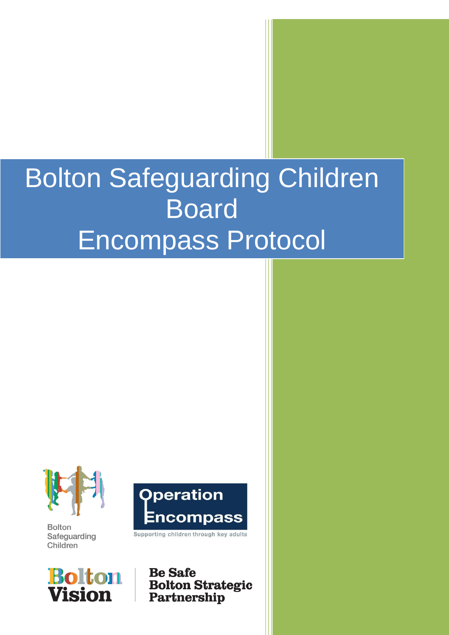# Bolton Safeguarding Children Board Encompass Protocol



**Bolton** Safeguarding Children



**Operation** Encompass

Supporting children through key adults

**Be Safe Bolton Strategic** Partnership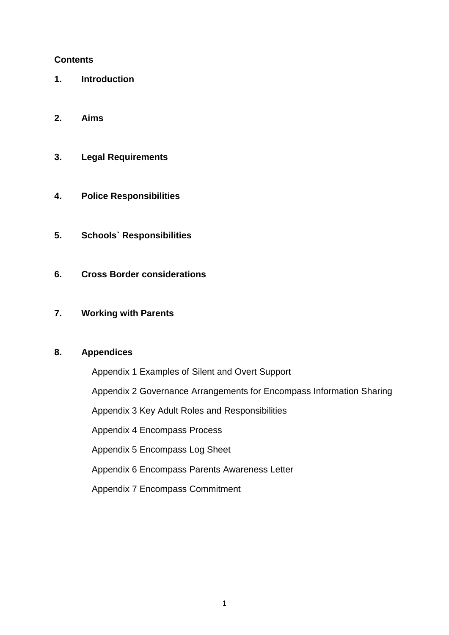# **Contents**

- **1. Introduction**
- **2. Aims**
- **3. Legal Requirements**
- **4. Police Responsibilities**
- **5. Schools` Responsibilities**
- **6. Cross Border considerations**
- **7. Working with Parents**

#### **8. Appendices**

Appendix 1 Examples of Silent and Overt Support Appendix 2 Governance Arrangements for Encompass Information Sharing Appendix 3 Key Adult Roles and Responsibilities Appendix 4 Encompass Process Appendix 5 Encompass Log Sheet Appendix 6 Encompass Parents Awareness Letter Appendix 7 Encompass Commitment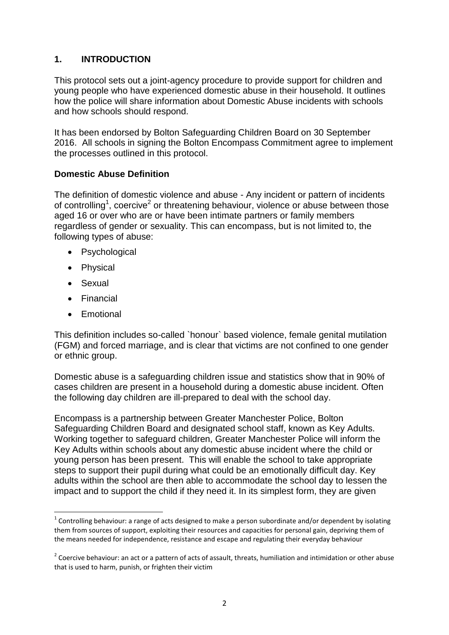# **1. INTRODUCTION**

This protocol sets out a joint-agency procedure to provide support for children and young people who have experienced domestic abuse in their household. It outlines how the police will share information about Domestic Abuse incidents with schools and how schools should respond.

It has been endorsed by Bolton Safeguarding Children Board on 30 September 2016. All schools in signing the Bolton Encompass Commitment agree to implement the processes outlined in this protocol.

#### **Domestic Abuse Definition**

The definition of domestic violence and abuse - Any incident or pattern of incidents of controlling<sup>1</sup>, coercive<sup>2</sup> or threatening behaviour, violence or abuse between those aged 16 or over who are or have been intimate partners or family members regardless of gender or sexuality. This can encompass, but is not limited to, the following types of abuse:

- Psychological
- Physical
- Sexual

 $\overline{a}$ 

- Financial
- **•** Emotional

This definition includes so-called `honour` based violence, female genital mutilation (FGM) and forced marriage, and is clear that victims are not confined to one gender or ethnic group.

Domestic abuse is a safeguarding children issue and statistics show that in 90% of cases children are present in a household during a domestic abuse incident. Often the following day children are ill-prepared to deal with the school day.

Encompass is a partnership between Greater Manchester Police, Bolton Safeguarding Children Board and designated school staff, known as Key Adults. Working together to safeguard children, Greater Manchester Police will inform the Key Adults within schools about any domestic abuse incident where the child or young person has been present. This will enable the school to take appropriate steps to support their pupil during what could be an emotionally difficult day. Key adults within the school are then able to accommodate the school day to lessen the impact and to support the child if they need it. In its simplest form, they are given

 $1$  Controlling behaviour: a range of acts designed to make a person subordinate and/or dependent by isolating them from sources of support, exploiting their resources and capacities for personal gain, depriving them of the means needed for independence, resistance and escape and regulating their everyday behaviour

 $2$  Coercive behaviour: an act or a pattern of acts of assault, threats, humiliation and intimidation or other abuse that is used to harm, punish, or frighten their victim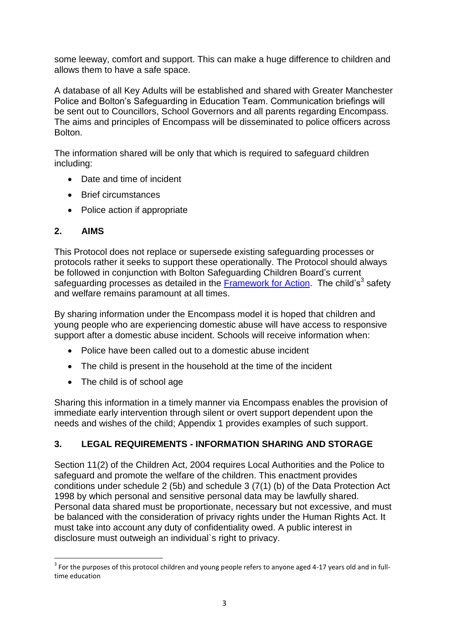some leeway, comfort and support. This can make a huge difference to children and allows them to have a safe space.

A database of all Key Adults will be established and shared with Greater Manchester Police and Bolton's Safeguarding in Education Team. Communication briefings will be sent out to Councillors, School Governors and all parents regarding Encompass. The aims and principles of Encompass will be disseminated to police officers across Bolton.

The information shared will be only that which is required to safeguard children including:

- Date and time of incident
- Brief circumstances
- Police action if appropriate

# **2. AIMS**

This Protocol does not replace or supersede existing safeguarding processes or protocols rather it seeks to support these operationally. The Protocol should always be followed in conjunction with Bolton Safeguarding Children Board's current safeguarding processes as detailed in the **Framework for Action**. The child's<sup>3</sup> safety and welfare remains paramount at all times.

By sharing information under the Encompass model it is hoped that children and young people who are experiencing domestic abuse will have access to responsive support after a domestic abuse incident. Schools will receive information when:

- Police have been called out to a domestic abuse incident
- The child is present in the household at the time of the incident
- The child is of school age

Sharing this information in a timely manner via Encompass enables the provision of immediate early intervention through silent or overt support dependent upon the needs and wishes of the child; Appendix 1 provides examples of such support.

# **3. LEGAL REQUIREMENTS - INFORMATION SHARING AND STORAGE**

Section 11(2) of the Children Act, 2004 requires Local Authorities and the Police to safeguard and promote the welfare of the children. This enactment provides conditions under schedule 2 (5b) and schedule 3 (7(1) (b) of the Data Protection Act 1998 by which personal and sensitive personal data may be lawfully shared. Personal data shared must be proportionate, necessary but not excessive, and must be balanced with the consideration of privacy rights under the Human Rights Act. It must take into account any duty of confidentiality owed. A public interest in disclosure must outweigh an individual`s right to privacy.

**<sup>.</sup>**  $3$  For the purposes of this protocol children and young people refers to anyone aged 4-17 years old and in fulltime education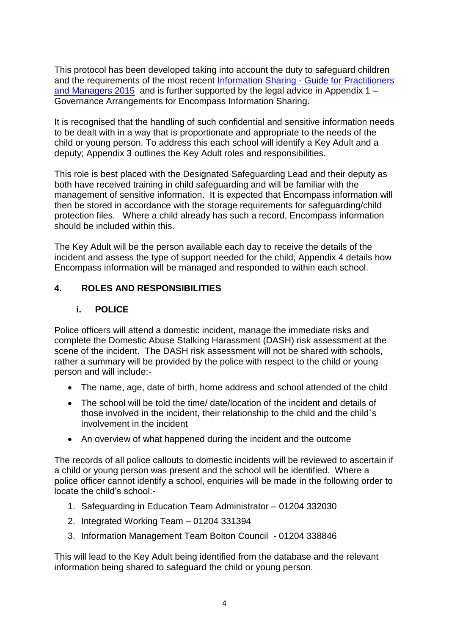This protocol has been developed taking into account the duty to safeguard children and the requirements of the most recent Information Sharing - Guide for Practitioners [and Managers 2015](https://www.gov.uk/government/uploads/system/uploads/attachment_data/file/419628/Information_sharing_advice_safeguarding_practitioners.pdf) and is further supported by the legal advice in Appendix 1 – Governance Arrangements for Encompass Information Sharing.

It is recognised that the handling of such confidential and sensitive information needs to be dealt with in a way that is proportionate and appropriate to the needs of the child or young person. To address this each school will identify a Key Adult and a deputy; Appendix 3 outlines the Key Adult roles and responsibilities.

This role is best placed with the Designated Safeguarding Lead and their deputy as both have received training in child safeguarding and will be familiar with the management of sensitive information. It is expected that Encompass information will then be stored in accordance with the storage requirements for safeguarding/child protection files. Where a child already has such a record, Encompass information should be included within this.

The Key Adult will be the person available each day to receive the details of the incident and assess the type of support needed for the child; Appendix 4 details how Encompass information will be managed and responded to within each school.

# **4. ROLES AND RESPONSIBILITIES**

# **i. POLICE**

Police officers will attend a domestic incident, manage the immediate risks and complete the Domestic Abuse Stalking Harassment (DASH) risk assessment at the scene of the incident. The DASH risk assessment will not be shared with schools, rather a summary will be provided by the police with respect to the child or young person and will include:-

- The name, age, date of birth, home address and school attended of the child
- The school will be told the time/ date/location of the incident and details of those involved in the incident, their relationship to the child and the child`s involvement in the incident
- An overview of what happened during the incident and the outcome

The records of all police callouts to domestic incidents will be reviewed to ascertain if a child or young person was present and the school will be identified. Where a police officer cannot identify a school, enquiries will be made in the following order to locate the child's school:-

- 1. Safeguarding in Education Team Administrator 01204 332030
- 2. Integrated Working Team 01204 331394
- 3. Information Management Team Bolton Council 01204 338846

This will lead to the Key Adult being identified from the database and the relevant information being shared to safeguard the child or young person.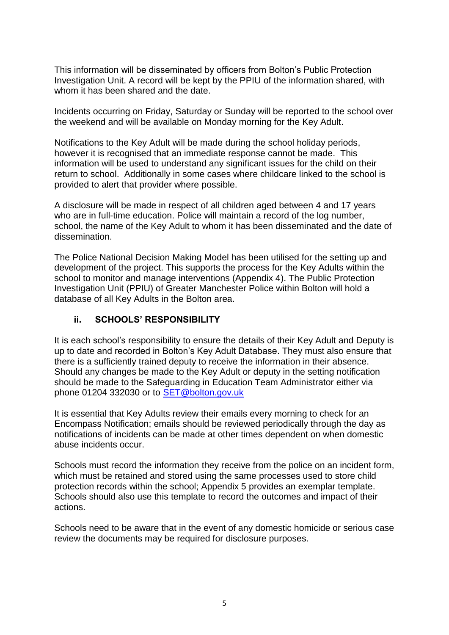This information will be disseminated by officers from Bolton's Public Protection Investigation Unit. A record will be kept by the PPIU of the information shared, with whom it has been shared and the date.

Incidents occurring on Friday, Saturday or Sunday will be reported to the school over the weekend and will be available on Monday morning for the Key Adult.

Notifications to the Key Adult will be made during the school holiday periods, however it is recognised that an immediate response cannot be made. This information will be used to understand any significant issues for the child on their return to school. Additionally in some cases where childcare linked to the school is provided to alert that provider where possible.

A disclosure will be made in respect of all children aged between 4 and 17 years who are in full-time education. Police will maintain a record of the log number, school, the name of the Key Adult to whom it has been disseminated and the date of dissemination.

The Police National Decision Making Model has been utilised for the setting up and development of the project. This supports the process for the Key Adults within the school to monitor and manage interventions (Appendix 4). The Public Protection Investigation Unit (PPIU) of Greater Manchester Police within Bolton will hold a database of all Key Adults in the Bolton area.

# **ii. SCHOOLS' RESPONSIBILITY**

It is each school's responsibility to ensure the details of their Key Adult and Deputy is up to date and recorded in Bolton's Key Adult Database. They must also ensure that there is a sufficiently trained deputy to receive the information in their absence. Should any changes be made to the Key Adult or deputy in the setting notification should be made to the Safeguarding in Education Team Administrator either via phone 01204 332030 or to [SET@bolton.gov.uk](mailto:SET@bolton.gov.uk)

It is essential that Key Adults review their emails every morning to check for an Encompass Notification; emails should be reviewed periodically through the day as notifications of incidents can be made at other times dependent on when domestic abuse incidents occur.

Schools must record the information they receive from the police on an incident form, which must be retained and stored using the same processes used to store child protection records within the school; Appendix 5 provides an exemplar template. Schools should also use this template to record the outcomes and impact of their actions.

Schools need to be aware that in the event of any domestic homicide or serious case review the documents may be required for disclosure purposes.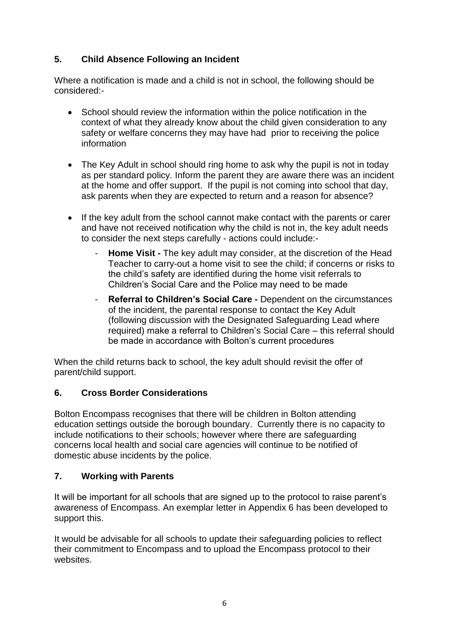# **5. Child Absence Following an Incident**

Where a notification is made and a child is not in school, the following should be considered:-

- School should review the information within the police notification in the context of what they already know about the child given consideration to any safety or welfare concerns they may have had prior to receiving the police information
- The Key Adult in school should ring home to ask why the pupil is not in today as per standard policy. Inform the parent they are aware there was an incident at the home and offer support. If the pupil is not coming into school that day, ask parents when they are expected to return and a reason for absence?
- If the key adult from the school cannot make contact with the parents or carer and have not received notification why the child is not in, the key adult needs to consider the next steps carefully - actions could include:-
	- **Home Visit -** The key adult may consider, at the discretion of the Head Teacher to carry-out a home visit to see the child; if concerns or risks to the child's safety are identified during the home visit referrals to Children's Social Care and the Police may need to be made
	- **Referral to Children's Social Care -** Dependent on the circumstances of the incident, the parental response to contact the Key Adult (following discussion with the Designated Safeguarding Lead where required) make a referral to Children's Social Care – this referral should be made in accordance with Bolton's current procedures

When the child returns back to school, the key adult should revisit the offer of parent/child support.

# **6. Cross Border Considerations**

Bolton Encompass recognises that there will be children in Bolton attending education settings outside the borough boundary. Currently there is no capacity to include notifications to their schools; however where there are safeguarding concerns local health and social care agencies will continue to be notified of domestic abuse incidents by the police.

# **7. Working with Parents**

It will be important for all schools that are signed up to the protocol to raise parent's awareness of Encompass. An exemplar letter in Appendix 6 has been developed to support this.

It would be advisable for all schools to update their safeguarding policies to reflect their commitment to Encompass and to upload the Encompass protocol to their websites.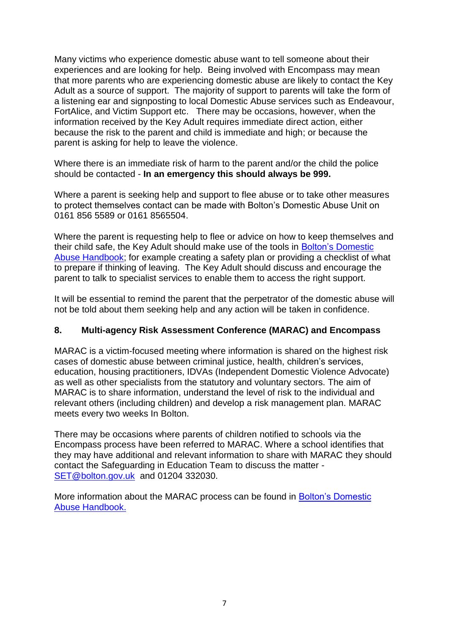Many victims who experience domestic abuse want to tell someone about their experiences and are looking for help. Being involved with Encompass may mean that more parents who are experiencing domestic abuse are likely to contact the Key Adult as a source of support. The majority of support to parents will take the form of a listening ear and signposting to local Domestic Abuse services such as Endeavour, FortAlice, and Victim Support etc. There may be occasions, however, when the information received by the Key Adult requires immediate direct action, either because the risk to the parent and child is immediate and high; or because the parent is asking for help to leave the violence.

Where there is an immediate risk of harm to the parent and/or the child the police should be contacted - **In an emergency this should always be 999.**

Where a parent is seeking help and support to flee abuse or to take other measures to protect themselves contact can be made with Bolton's Domestic Abuse Unit on 0161 856 5589 or 0161 8565504.

Where the parent is requesting help to flee or advice on how to keep themselves and their child safe, the Key Adult should make use of the tools in [Bolton's Domestic](http://boltonsafeguardingchildren.org.uk/documents/2015/01/bolton-domestic-abuse-handbook.pdf)  [Abuse Handbook;](http://boltonsafeguardingchildren.org.uk/documents/2015/01/bolton-domestic-abuse-handbook.pdf) for example creating a safety plan or providing a checklist of what to prepare if thinking of leaving. The Key Adult should discuss and encourage the parent to talk to specialist services to enable them to access the right support.

It will be essential to remind the parent that the perpetrator of the domestic abuse will not be told about them seeking help and any action will be taken in confidence.

#### **8. Multi-agency Risk Assessment Conference (MARAC) and Encompass**

MARAC is a victim-focused meeting where information is shared on the highest risk cases of domestic abuse between criminal justice, health, children's services, education, housing practitioners, IDVAs (Independent Domestic Violence Advocate) as well as other specialists from the statutory and voluntary sectors. The aim of MARAC is to share information, understand the level of risk to the individual and relevant others (including children) and develop a risk management plan. MARAC meets every two weeks In Bolton.

There may be occasions where parents of children notified to schools via the Encompass process have been referred to MARAC. Where a school identifies that they may have additional and relevant information to share with MARAC they should contact the Safeguarding in Education Team to discuss the matter - [SET@bolton.gov.uk](mailto:SET@bolton.gov.uk) and 01204 332030.

More information about the MARAC process can be found in [Bolton's Domestic](http://boltonsafeguardingchildren.org.uk/documents/2015/01/bolton-domestic-abuse-handbook.pdf)  [Abuse Handbook.](http://boltonsafeguardingchildren.org.uk/documents/2015/01/bolton-domestic-abuse-handbook.pdf)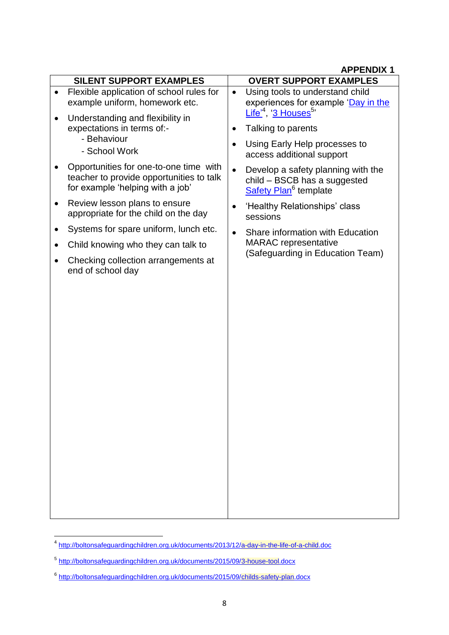|                                                                                                                        | AFFENDIA I                                                                                                           |
|------------------------------------------------------------------------------------------------------------------------|----------------------------------------------------------------------------------------------------------------------|
| <b>SILENT SUPPORT EXAMPLES</b>                                                                                         | <b>OVERT SUPPORT EXAMPLES</b>                                                                                        |
| Flexible application of school rules for<br>example uniform, homework etc.                                             | Using tools to understand child<br>$\bullet$<br>experiences for example 'Day in the                                  |
| Understanding and flexibility in<br>expectations in terms of:-<br>- Behaviour<br>- School Work                         | Life <sup>'4</sup> , '3 Houses <sup>5</sup> '<br>Talking to parents                                                  |
|                                                                                                                        | Using Early Help processes to<br>access additional support                                                           |
| Opportunities for one-to-one time with<br>teacher to provide opportunities to talk<br>for example 'helping with a job' | Develop a safety planning with the<br>$\bullet$<br>child - BSCB has a suggested<br>Safety Plan <sup>6</sup> template |
| Review lesson plans to ensure<br>٠<br>appropriate for the child on the day                                             | 'Healthy Relationships' class<br>sessions                                                                            |
| Systems for spare uniform, lunch etc.<br>Child knowing who they can talk to                                            | Share information with Education<br>$\bullet$<br><b>MARAC</b> representative                                         |
| Checking collection arrangements at<br>end of school day                                                               | (Safeguarding in Education Team)                                                                                     |
|                                                                                                                        |                                                                                                                      |

 4 <http://boltonsafeguardingchildren.org.uk/documents/2013/12/a-day-in-the-life-of-a-child.doc>

<sup>5</sup> <http://boltonsafeguardingchildren.org.uk/documents/2015/09/3-house-tool.docx>

<sup>&</sup>lt;sup>6</sup> <http://boltonsafeguardingchildren.org.uk/documents/2015/09/childs-safety-plan.docx>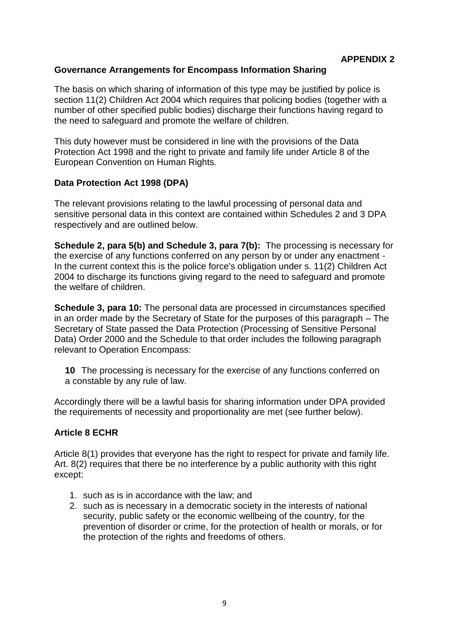# **Governance Arrangements for Encompass Information Sharing**

The basis on which sharing of information of this type may be justified by police is section 11(2) Children Act 2004 which requires that policing bodies (together with a number of other specified public bodies) discharge their functions having regard to the need to safeguard and promote the welfare of children.

This duty however must be considered in line with the provisions of the Data Protection Act 1998 and the right to private and family life under Article 8 of the European Convention on Human Rights.

# **Data Protection Act 1998 (DPA)**

The relevant provisions relating to the lawful processing of personal data and sensitive personal data in this context are contained within Schedules 2 and 3 DPA respectively and are outlined below.

**Schedule 2, para 5(b) and Schedule 3, para 7(b):** The processing is necessary for the exercise of any functions conferred on any person by or under any enactment - In the current context this is the police force's obligation under s. 11(2) Children Act 2004 to discharge its functions giving regard to the need to safeguard and promote the welfare of children.

**Schedule 3, para 10:** The personal data are processed in circumstances specified in an order made by the Secretary of State for the purposes of this paragraph – The Secretary of State passed the Data Protection (Processing of Sensitive Personal Data) Order 2000 and the Schedule to that order includes the following paragraph relevant to Operation Encompass:

**10** The processing is necessary for the exercise of any functions conferred on a constable by any rule of law.

Accordingly there will be a lawful basis for sharing information under DPA provided the requirements of necessity and proportionality are met (see further below).

# **Article 8 ECHR**

Article 8(1) provides that everyone has the right to respect for private and family life. Art. 8(2) requires that there be no interference by a public authority with this right except:

- 1. such as is in accordance with the law; and
- 2. such as is necessary in a democratic society in the interests of national security, public safety or the economic wellbeing of the country, for the prevention of disorder or crime, for the protection of health or morals, or for the protection of the rights and freedoms of others.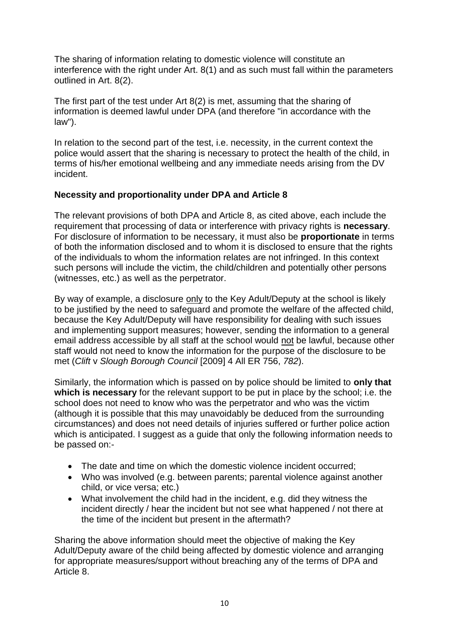The sharing of information relating to domestic violence will constitute an interference with the right under Art. 8(1) and as such must fall within the parameters outlined in Art. 8(2).

The first part of the test under Art 8(2) is met, assuming that the sharing of information is deemed lawful under DPA (and therefore "in accordance with the law").

In relation to the second part of the test, i.e. necessity, in the current context the police would assert that the sharing is necessary to protect the health of the child, in terms of his/her emotional wellbeing and any immediate needs arising from the DV incident.

# **Necessity and proportionality under DPA and Article 8**

The relevant provisions of both DPA and Article 8, as cited above, each include the requirement that processing of data or interference with privacy rights is **necessary**. For disclosure of information to be necessary, it must also be **proportionate** in terms of both the information disclosed and to whom it is disclosed to ensure that the rights of the individuals to whom the information relates are not infringed. In this context such persons will include the victim, the child/children and potentially other persons (witnesses, etc.) as well as the perpetrator.

By way of example, a disclosure only to the Key Adult/Deputy at the school is likely to be justified by the need to safeguard and promote the welfare of the affected child, because the Key Adult/Deputy will have responsibility for dealing with such issues and implementing support measures; however, sending the information to a general email address accessible by all staff at the school would not be lawful, because other staff would not need to know the information for the purpose of the disclosure to be met (*Clift* v *Slough Borough Council* [2009] 4 All ER 756, *782*).

Similarly, the information which is passed on by police should be limited to **only that which is necessary** for the relevant support to be put in place by the school; i.e. the school does not need to know who was the perpetrator and who was the victim (although it is possible that this may unavoidably be deduced from the surrounding circumstances) and does not need details of injuries suffered or further police action which is anticipated. I suggest as a guide that only the following information needs to be passed on:-

- The date and time on which the domestic violence incident occurred;
- Who was involved (e.g. between parents; parental violence against another child, or vice versa; etc.)
- What involvement the child had in the incident, e.g. did they witness the incident directly / hear the incident but not see what happened / not there at the time of the incident but present in the aftermath?

Sharing the above information should meet the objective of making the Key Adult/Deputy aware of the child being affected by domestic violence and arranging for appropriate measures/support without breaching any of the terms of DPA and Article 8.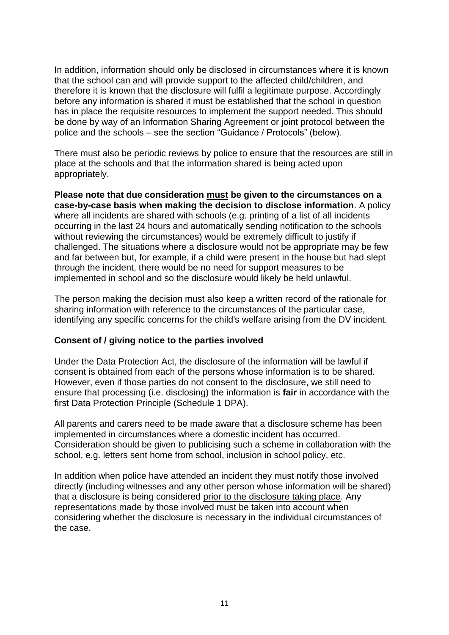In addition, information should only be disclosed in circumstances where it is known that the school can and will provide support to the affected child/children, and therefore it is known that the disclosure will fulfil a legitimate purpose. Accordingly before any information is shared it must be established that the school in question has in place the requisite resources to implement the support needed. This should be done by way of an Information Sharing Agreement or joint protocol between the police and the schools – see the section "Guidance / Protocols" (below).

There must also be periodic reviews by police to ensure that the resources are still in place at the schools and that the information shared is being acted upon appropriately.

**Please note that due consideration must be given to the circumstances on a case-by-case basis when making the decision to disclose information**. A policy where all incidents are shared with schools (e.g. printing of a list of all incidents occurring in the last 24 hours and automatically sending notification to the schools without reviewing the circumstances) would be extremely difficult to justify if challenged. The situations where a disclosure would not be appropriate may be few and far between but, for example, if a child were present in the house but had slept through the incident, there would be no need for support measures to be implemented in school and so the disclosure would likely be held unlawful.

The person making the decision must also keep a written record of the rationale for sharing information with reference to the circumstances of the particular case, identifying any specific concerns for the child's welfare arising from the DV incident.

#### **Consent of / giving notice to the parties involved**

Under the Data Protection Act, the disclosure of the information will be lawful if consent is obtained from each of the persons whose information is to be shared. However, even if those parties do not consent to the disclosure, we still need to ensure that processing (i.e. disclosing) the information is **fair** in accordance with the first Data Protection Principle (Schedule 1 DPA).

All parents and carers need to be made aware that a disclosure scheme has been implemented in circumstances where a domestic incident has occurred. Consideration should be given to publicising such a scheme in collaboration with the school, e.g. letters sent home from school, inclusion in school policy, etc.

In addition when police have attended an incident they must notify those involved directly (including witnesses and any other person whose information will be shared) that a disclosure is being considered prior to the disclosure taking place. Any representations made by those involved must be taken into account when considering whether the disclosure is necessary in the individual circumstances of the case.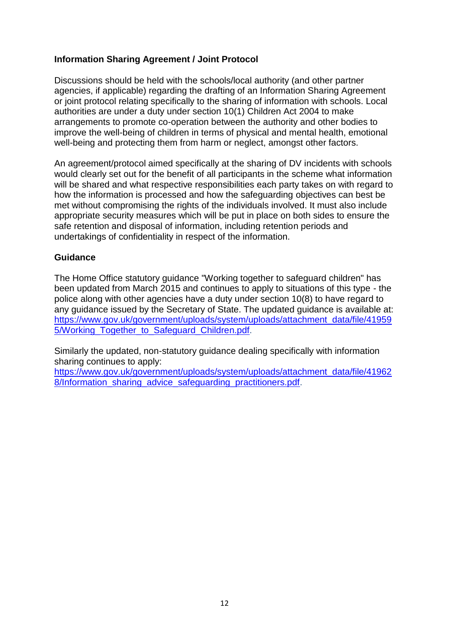# **Information Sharing Agreement / Joint Protocol**

Discussions should be held with the schools/local authority (and other partner agencies, if applicable) regarding the drafting of an Information Sharing Agreement or joint protocol relating specifically to the sharing of information with schools. Local authorities are under a duty under section 10(1) Children Act 2004 to make arrangements to promote co-operation between the authority and other bodies to improve the well-being of children in terms of physical and mental health, emotional well-being and protecting them from harm or neglect, amongst other factors.

An agreement/protocol aimed specifically at the sharing of DV incidents with schools would clearly set out for the benefit of all participants in the scheme what information will be shared and what respective responsibilities each party takes on with regard to how the information is processed and how the safeguarding objectives can best be met without compromising the rights of the individuals involved. It must also include appropriate security measures which will be put in place on both sides to ensure the safe retention and disposal of information, including retention periods and undertakings of confidentiality in respect of the information.

#### **Guidance**

The Home Office statutory guidance "Working together to safeguard children" has been updated from March 2015 and continues to apply to situations of this type - the police along with other agencies have a duty under section 10(8) to have regard to any guidance issued by the Secretary of State. The updated guidance is available at: [https://www.gov.uk/government/uploads/system/uploads/attachment\\_data/file/41959](https://www.gov.uk/government/uploads/system/uploads/attachment_data/file/419595/Working_Together_to_Safeguard_Children.pdf) 5/Working Together to Safeguard Children.pdf.

Similarly the updated, non-statutory guidance dealing specifically with information sharing continues to apply:

[https://www.gov.uk/government/uploads/system/uploads/attachment\\_data/file/41962](https://www.gov.uk/government/uploads/system/uploads/attachment_data/file/419628/Information_sharing_advice_safeguarding_practitioners.pdf) [8/Information\\_sharing\\_advice\\_safeguarding\\_practitioners.pdf.](https://www.gov.uk/government/uploads/system/uploads/attachment_data/file/419628/Information_sharing_advice_safeguarding_practitioners.pdf)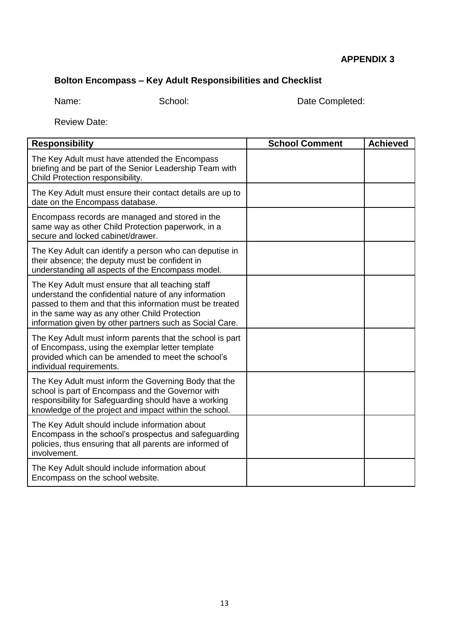# **Bolton Encompass – Key Adult Responsibilities and Checklist**

Name: School: School: Date Completed:

Review Date:

| <b>Responsibility</b>                                                                                                                                                                                                                                                               | <b>School Comment</b> | <b>Achieved</b> |
|-------------------------------------------------------------------------------------------------------------------------------------------------------------------------------------------------------------------------------------------------------------------------------------|-----------------------|-----------------|
| The Key Adult must have attended the Encompass<br>briefing and be part of the Senior Leadership Team with<br>Child Protection responsibility.                                                                                                                                       |                       |                 |
| The Key Adult must ensure their contact details are up to<br>date on the Encompass database.                                                                                                                                                                                        |                       |                 |
| Encompass records are managed and stored in the<br>same way as other Child Protection paperwork, in a<br>secure and locked cabinet/drawer.                                                                                                                                          |                       |                 |
| The Key Adult can identify a person who can deputise in<br>their absence; the deputy must be confident in<br>understanding all aspects of the Encompass model.                                                                                                                      |                       |                 |
| The Key Adult must ensure that all teaching staff<br>understand the confidential nature of any information<br>passed to them and that this information must be treated<br>in the same way as any other Child Protection<br>information given by other partners such as Social Care. |                       |                 |
| The Key Adult must inform parents that the school is part<br>of Encompass, using the exemplar letter template<br>provided which can be amended to meet the school's<br>individual requirements.                                                                                     |                       |                 |
| The Key Adult must inform the Governing Body that the<br>school is part of Encompass and the Governor with<br>responsibility for Safeguarding should have a working<br>knowledge of the project and impact within the school.                                                       |                       |                 |
| The Key Adult should include information about<br>Encompass in the school's prospectus and safeguarding<br>policies, thus ensuring that all parents are informed of<br>involvement.                                                                                                 |                       |                 |
| The Key Adult should include information about<br>Encompass on the school website.                                                                                                                                                                                                  |                       |                 |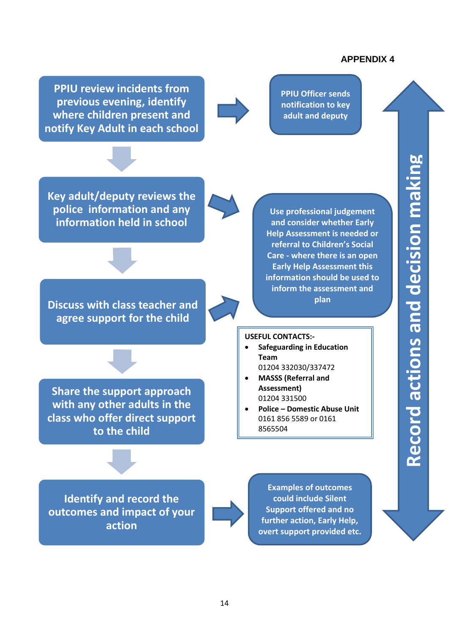**PPIU review incidents from previous evening, identify where children present and notify Key Adult in each school**

**PPIU Officer sends notification to key adult and deputy**

**Key adult/deputy reviews the police information and any information held in school**

**Discuss with class teacher and agree support for the child**

**Share the support approach with any other adults in the class who offer direct support to the child**

**Use professional judgement and consider whether Early Help Assessment is needed or referral to Children's Social Care - where there is an open Early Help Assessment this information should be used to inform the assessment and plan**

#### **USEFUL CONTACTS:-**

- **Safeguarding in Education Team** 01204 332030/337472
- **MASSS (Referral and Assessment)** 01204 331500
- **Police – Domestic Abuse Unit** 0161 856 5589 or 0161 8565504

**Identify and record the outcomes and impact of your action**



**Examples of outcomes could include Silent Support offered and no further action, Early Help, overt support provided etc.**

# **Record actions and decision making**  Record actions and decision making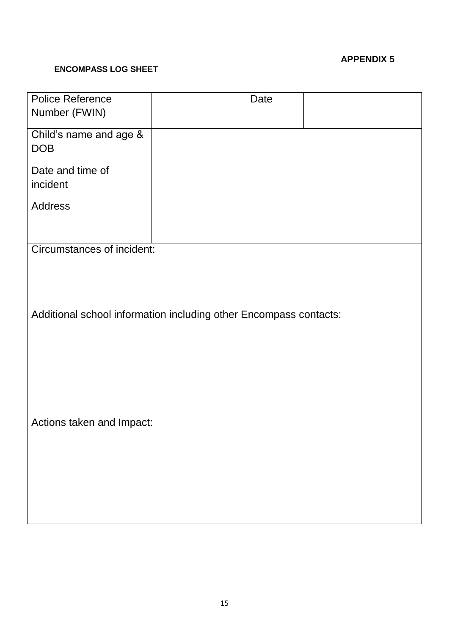#### **ENCOMPASS LOG SHEET**

| Police Reference                                                  | Date |  |  |
|-------------------------------------------------------------------|------|--|--|
| Number (FWIN)                                                     |      |  |  |
| Child's name and age &                                            |      |  |  |
| <b>DOB</b>                                                        |      |  |  |
| Date and time of                                                  |      |  |  |
| incident                                                          |      |  |  |
| <b>Address</b>                                                    |      |  |  |
|                                                                   |      |  |  |
| <b>Circumstances of incident:</b>                                 |      |  |  |
|                                                                   |      |  |  |
|                                                                   |      |  |  |
|                                                                   |      |  |  |
| Additional school information including other Encompass contacts: |      |  |  |
|                                                                   |      |  |  |
|                                                                   |      |  |  |
|                                                                   |      |  |  |
|                                                                   |      |  |  |
| Actions taken and Impact:                                         |      |  |  |
|                                                                   |      |  |  |
|                                                                   |      |  |  |
|                                                                   |      |  |  |
|                                                                   |      |  |  |
|                                                                   |      |  |  |
|                                                                   |      |  |  |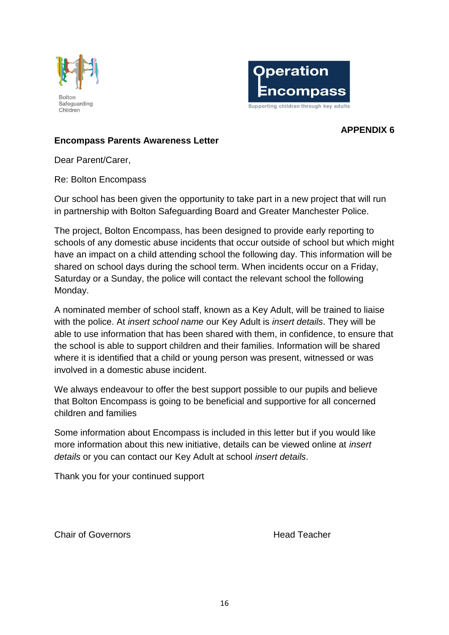



# **Encompass Parents Awareness Letter**

Dear Parent/Carer,

Re: Bolton Encompass

Our school has been given the opportunity to take part in a new project that will run in partnership with Bolton Safeguarding Board and Greater Manchester Police.

The project, Bolton Encompass, has been designed to provide early reporting to schools of any domestic abuse incidents that occur outside of school but which might have an impact on a child attending school the following day. This information will be shared on school days during the school term. When incidents occur on a Friday, Saturday or a Sunday, the police will contact the relevant school the following Monday.

A nominated member of school staff, known as a Key Adult, will be trained to liaise with the police. At *insert school name* our Key Adult is *insert details*. They will be able to use information that has been shared with them, in confidence, to ensure that the school is able to support children and their families. Information will be shared where it is identified that a child or young person was present, witnessed or was involved in a domestic abuse incident.

We always endeavour to offer the best support possible to our pupils and believe that Bolton Encompass is going to be beneficial and supportive for all concerned children and families

Some information about Encompass is included in this letter but if you would like more information about this new initiative, details can be viewed online at *insert details* or you can contact our Key Adult at school *insert details*.

Thank you for your continued support

Chair of Governors Head Teacher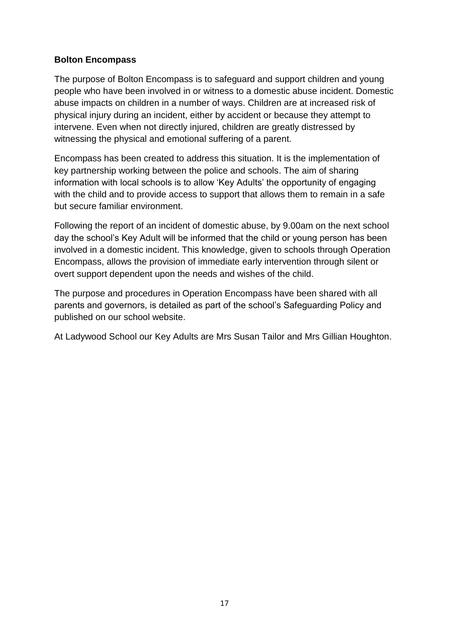# **Bolton Encompass**

The purpose of Bolton Encompass is to safeguard and support children and young people who have been involved in or witness to a domestic abuse incident. Domestic abuse impacts on children in a number of ways. Children are at increased risk of physical injury during an incident, either by accident or because they attempt to intervene. Even when not directly injured, children are greatly distressed by witnessing the physical and emotional suffering of a parent.

Encompass has been created to address this situation. It is the implementation of key partnership working between the police and schools. The aim of sharing information with local schools is to allow 'Key Adults' the opportunity of engaging with the child and to provide access to support that allows them to remain in a safe but secure familiar environment.

Following the report of an incident of domestic abuse, by 9.00am on the next school day the school's Key Adult will be informed that the child or young person has been involved in a domestic incident. This knowledge, given to schools through Operation Encompass, allows the provision of immediate early intervention through silent or overt support dependent upon the needs and wishes of the child.

The purpose and procedures in Operation Encompass have been shared with all parents and governors, is detailed as part of the school's Safeguarding Policy and published on our school website.

At Ladywood School our Key Adults are Mrs Susan Tailor and Mrs Gillian Houghton.